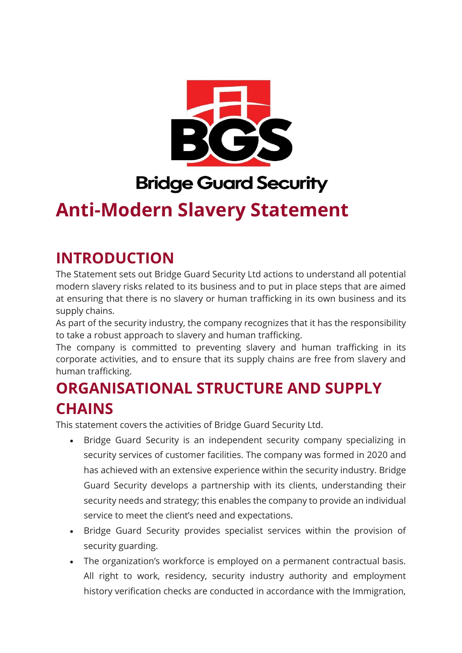

# **Bridge Guard Security**

# **Anti-Modern Slavery Statement**

### **INTRODUCTION**

The Statement sets out Bridge Guard Security Ltd actions to understand all potential modern slavery risks related to its business and to put in place steps that are aimed at ensuring that there is no slavery or human trafficking in its own business and its supply chains.

As part of the security industry, the company recognizes that it has the responsibility to take a robust approach to slavery and human trafficking.

The company is committed to preventing slavery and human trafficking in its corporate activities, and to ensure that its supply chains are free from slavery and human trafficking.

## **ORGANISATIONAL STRUCTURE AND SUPPLY CHAINS**

This statement covers the activities of Bridge Guard Security Ltd.

- Bridge Guard Security is an independent security company specializing in security services of customer facilities. The company was formed in 2020 and has achieved with an extensive experience within the security industry. Bridge Guard Security develops a partnership with its clients, understanding their security needs and strategy; this enables the company to provide an individual service to meet the client's need and expectations.
- Bridge Guard Security provides specialist services within the provision of security guarding.
- The organization's workforce is employed on a permanent contractual basis. All right to work, residency, security industry authority and employment history verification checks are conducted in accordance with the Immigration,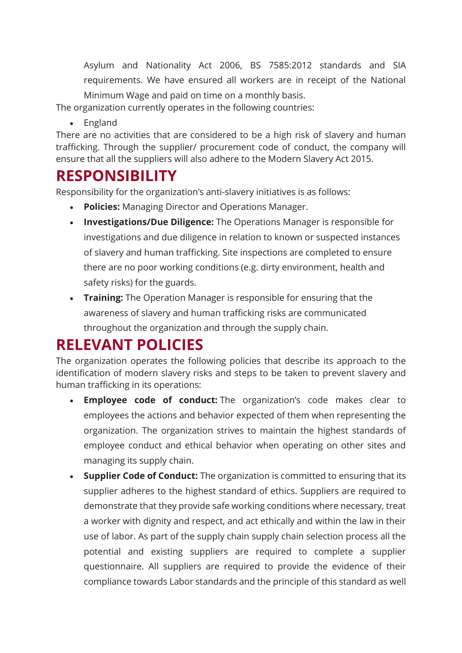Asylum and Nationality Act 2006, BS 7585:2012 standards and SIA requirements. We have ensured all workers are in receipt of the National Minimum Wage and paid on time on a monthly basis.

The organization currently operates in the following countries:

• England

There are no activities that are considered to be a high risk of slavery and human trafficking. Through the supplier/ procurement code of conduct, the company will ensure that all the suppliers will also adhere to the Modern Slavery Act 2015.

#### **RESPONSIBILITY**

Responsibility for the organization's anti-slavery initiatives is as follows:

- **Policies:** Managing Director and Operations Manager.
- **Investigations/Due Diligence:** The Operations Manager is responsible for investigations and due diligence in relation to known or suspected instances of slavery and human trafficking. Site inspections are completed to ensure there are no poor working conditions (e.g. dirty environment, health and safety risks) for the guards.
- **Training:** The Operation Manager is responsible for ensuring that the awareness of slavery and human trafficking risks are communicated throughout the organization and through the supply chain.

### **RELEVANT POLICIES**

The organization operates the following policies that describe its approach to the identification of modern slavery risks and steps to be taken to prevent slavery and human trafficking in its operations:

- **Employee code of conduct:** The organization's code makes clear to employees the actions and behavior expected of them when representing the organization. The organization strives to maintain the highest standards of employee conduct and ethical behavior when operating on other sites and managing its supply chain.
- **Supplier Code of Conduct:** The organization is committed to ensuring that its supplier adheres to the highest standard of ethics. Suppliers are required to demonstrate that they provide safe working conditions where necessary, treat a worker with dignity and respect, and act ethically and within the law in their use of labor. As part of the supply chain supply chain selection process all the potential and existing suppliers are required to complete a supplier questionnaire. All suppliers are required to provide the evidence of their compliance towards Labor standards and the principle of this standard as well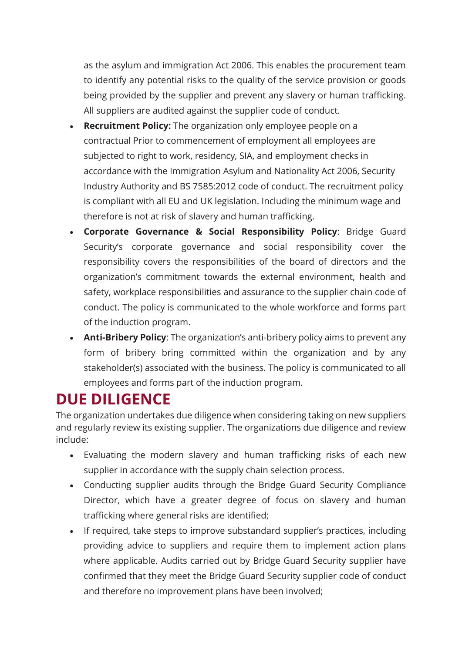as the asylum and immigration Act 2006. This enables the procurement team to identify any potential risks to the quality of the service provision or goods being provided by the supplier and prevent any slavery or human trafficking. All suppliers are audited against the supplier code of conduct.

- **Recruitment Policy:** The organization only employee people on a contractual Prior to commencement of employment all employees are subjected to right to work, residency, SIA, and employment checks in accordance with the Immigration Asylum and Nationality Act 2006, Security Industry Authority and BS 7585:2012 code of conduct. The recruitment policy is compliant with all EU and UK legislation. Including the minimum wage and therefore is not at risk of slavery and human trafficking.
- **Corporate Governance & Social Responsibility Policy**: Bridge Guard Security's corporate governance and social responsibility cover the responsibility covers the responsibilities of the board of directors and the organization's commitment towards the external environment, health and safety, workplace responsibilities and assurance to the supplier chain code of conduct. The policy is communicated to the whole workforce and forms part of the induction program.
- **Anti-Bribery Policy**: The organization's anti-bribery policy aims to prevent any form of bribery bring committed within the organization and by any stakeholder(s) associated with the business. The policy is communicated to all employees and forms part of the induction program.

### **DUE DILIGENCE**

The organization undertakes due diligence when considering taking on new suppliers and regularly review its existing supplier. The organizations due diligence and review include:

- Evaluating the modern slavery and human trafficking risks of each new supplier in accordance with the supply chain selection process.
- Conducting supplier audits through the Bridge Guard Security Compliance Director, which have a greater degree of focus on slavery and human trafficking where general risks are identified;
- If required, take steps to improve substandard supplier's practices, including providing advice to suppliers and require them to implement action plans where applicable. Audits carried out by Bridge Guard Security supplier have confirmed that they meet the Bridge Guard Security supplier code of conduct and therefore no improvement plans have been involved;